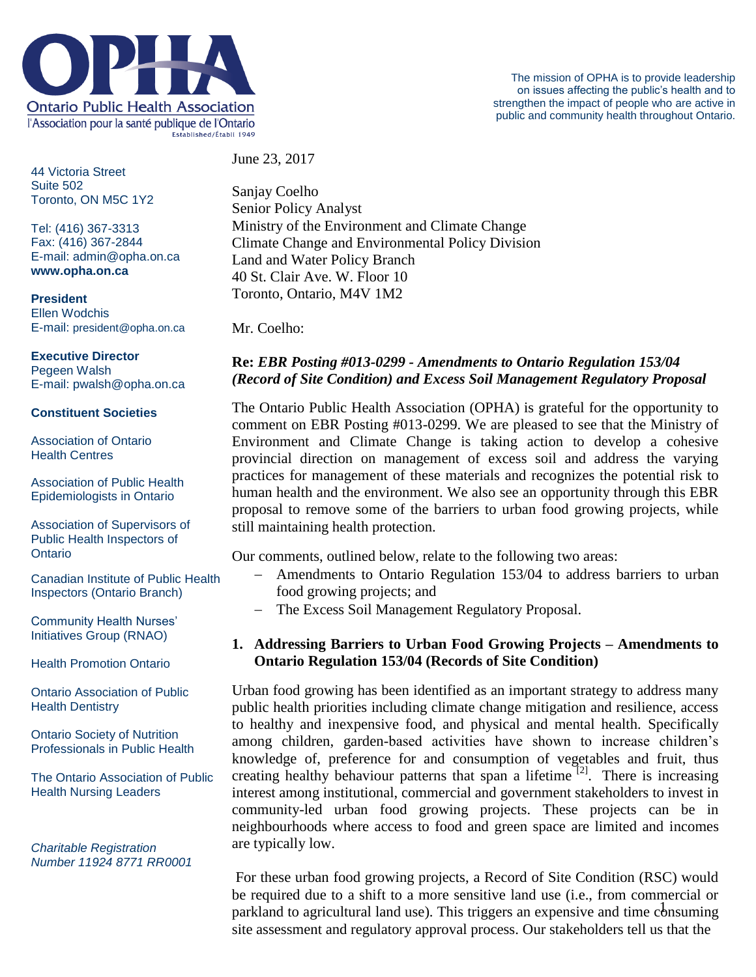

44 Victoria Street Suite 502 Toronto, ON M5C 1Y2

Tel: (416) 367-3313 Fax: (416) 367-2844 E-mail: admin@opha.on.ca **www.opha.on.ca**

**President** Ellen Wodchis E-mail: president@opha.on.ca

### **Executive Director**

Pegeen Walsh E-mail: pwalsh@opha.on.ca

#### **Constituent Societies**

Association of Ontario Health Centres

Association of Public Health Epidemiologists in Ontario

Association of Supervisors of Public Health Inspectors of **Ontario** 

Canadian Institute of Public Health Inspectors (Ontario Branch)

Community Health Nurses' Initiatives Group (RNAO)

Health Promotion Ontario

Ontario Association of Public Health Dentistry

Ontario Society of Nutrition Professionals in Public Health

The Ontario Association of Public Health Nursing Leaders

*Charitable Registration Number 11924 8771 RR0001* June 23, 2017

Sanjay Coelho Senior Policy Analyst Ministry of the Environment and Climate Change Climate Change and Environmental Policy Division Land and Water Policy Branch 40 St. Clair Ave. W. Floor 10 Toronto, Ontario, M4V 1M2

Mr. Coelho:

# **Re:** *EBR Posting #013-0299 - Amendments to Ontario Regulation 153/04 (Record of Site Condition) and Excess Soil Management Regulatory Proposal*

The Ontario Public Health Association (OPHA) is grateful for the opportunity to comment on EBR Posting #013-0299. We are pleased to see that the Ministry of Environment and Climate Change is taking action to develop a cohesive provincial direction on management of excess soil and address the varying practices for management of these materials and recognizes the potential risk to human health and the environment. We also see an opportunity through this EBR proposal to remove some of the barriers to urban food growing projects, while still maintaining health protection.

Our comments, outlined below, relate to the following two areas:

- Amendments to Ontario Regulation 153/04 to address barriers to urban food growing projects; and
- The Excess Soil Management Regulatory Proposal.

## **1. Addressing Barriers to Urban Food Growing Projects – Amendments to Ontario Regulation 153/04 (Records of Site Condition)**

Urban food growing has been identified as an important strategy to address many public health priorities including climate change mitigation and resilience, access to healthy and inexpensive food, and physical and mental health. Specifically among children, garden-based activities have shown to increase children's knowledge of, preference for and consumption of vegetables and fruit, thus creating healthy behaviour patterns that span a lifetime<sup>[2]</sup>. There is increasing interest among institutional, commercial and government stakeholders to invest in community-led urban food growing projects. These projects can be in neighbourhoods where access to food and green space are limited and incomes are typically low.

parkland to agricultural land use). This triggers an expensive and time consuming For these urban food growing projects, a Record of Site Condition (RSC) would be required due to a shift to a more sensitive land use (i.e., from commercial or site assessment and regulatory approval process. Our stakeholders tell us that the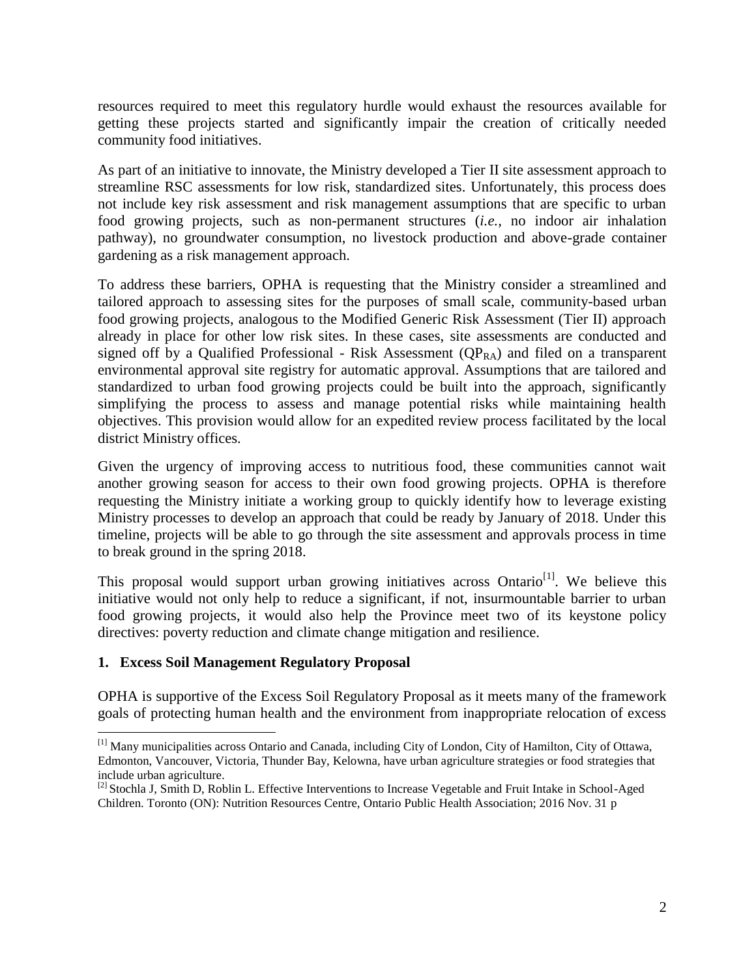resources required to meet this regulatory hurdle would exhaust the resources available for getting these projects started and significantly impair the creation of critically needed community food initiatives.

As part of an initiative to innovate, the Ministry developed a Tier II site assessment approach to streamline RSC assessments for low risk, standardized sites. Unfortunately, this process does not include key risk assessment and risk management assumptions that are specific to urban food growing projects, such as non-permanent structures (*i.e.,* no indoor air inhalation pathway), no groundwater consumption, no livestock production and above-grade container gardening as a risk management approach.

To address these barriers, OPHA is requesting that the Ministry consider a streamlined and tailored approach to assessing sites for the purposes of small scale, community-based urban food growing projects, analogous to the Modified Generic Risk Assessment (Tier II) approach already in place for other low risk sites. In these cases, site assessments are conducted and signed off by a Qualified Professional - Risk Assessment  $(QP_{RA})$  and filed on a transparent environmental approval site registry for automatic approval. Assumptions that are tailored and standardized to urban food growing projects could be built into the approach, significantly simplifying the process to assess and manage potential risks while maintaining health objectives. This provision would allow for an expedited review process facilitated by the local district Ministry offices.

Given the urgency of improving access to nutritious food, these communities cannot wait another growing season for access to their own food growing projects. OPHA is therefore requesting the Ministry initiate a working group to quickly identify how to leverage existing Ministry processes to develop an approach that could be ready by January of 2018. Under this timeline, projects will be able to go through the site assessment and approvals process in time to break ground in the spring 2018.

This proposal would support urban growing initiatives across Ontario<sup>[1]</sup>. We believe this initiative would not only help to reduce a significant, if not, insurmountable barrier to urban food growing projects, it would also help the Province meet two of its keystone policy directives: poverty reduction and climate change mitigation and resilience.

### **1. Excess Soil Management Regulatory Proposal**

 $\overline{a}$ 

OPHA is supportive of the Excess Soil Regulatory Proposal as it meets many of the framework goals of protecting human health and the environment from inappropriate relocation of excess

<sup>[1]</sup> Many municipalities across Ontario and Canada, including City of London, City of Hamilton, City of Ottawa, Edmonton, Vancouver, Victoria, Thunder Bay, Kelowna, have urban agriculture strategies or food strategies that include urban agriculture.

<sup>&</sup>lt;sup>[2]</sup> Stochla J, Smith D, Roblin L. Effective Interventions to Increase Vegetable and Fruit Intake in School-Aged Children. Toronto (ON): Nutrition Resources Centre, Ontario Public Health Association; 2016 Nov. 31 p